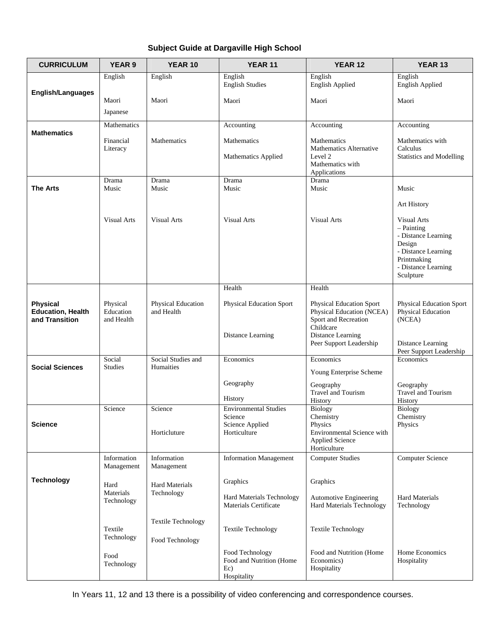# **Subject Guide at Dargaville High School**

| <b>CURRICULUM</b>                                             | <b>YEAR 9</b>                       | YEAR 10                                      | <b>YEAR 11</b>                                                    | YEAR <sub>12</sub>                                                                           | YEAR 13                                                                                                                                       |
|---------------------------------------------------------------|-------------------------------------|----------------------------------------------|-------------------------------------------------------------------|----------------------------------------------------------------------------------------------|-----------------------------------------------------------------------------------------------------------------------------------------------|
| English/Languages                                             | English                             | English                                      | English<br><b>English Studies</b>                                 | English<br><b>English Applied</b>                                                            | English<br><b>English Applied</b>                                                                                                             |
|                                                               | Maori                               | Maori                                        | Maori                                                             | Maori                                                                                        | Maori                                                                                                                                         |
|                                                               | Japanese                            |                                              |                                                                   |                                                                                              |                                                                                                                                               |
| <b>Mathematics</b>                                            | Mathematics                         |                                              | Accounting                                                        | Accounting                                                                                   | Accounting                                                                                                                                    |
|                                                               | Financial<br>Literacy               | Mathematics                                  | Mathematics<br>Mathematics Applied                                | Mathematics<br>Mathematics Alternative<br>Level 2                                            | Mathematics with<br>Calculus<br><b>Statistics and Modelling</b>                                                                               |
|                                                               |                                     |                                              |                                                                   | Mathematics with<br>Applications                                                             |                                                                                                                                               |
| <b>The Arts</b>                                               | Drama<br>Music                      | Drama<br>Music                               | Drama<br>Music                                                    | Drama<br>Music                                                                               | Music                                                                                                                                         |
|                                                               |                                     |                                              |                                                                   |                                                                                              | Art History                                                                                                                                   |
|                                                               | Visual Arts                         | Visual Arts                                  | <b>Visual Arts</b>                                                | <b>Visual Arts</b>                                                                           | <b>Visual Arts</b><br>$-$ Painting<br>- Distance Learning<br>Design<br>- Distance Learning<br>Printmaking<br>- Distance Learning<br>Sculpture |
|                                                               |                                     |                                              | Health                                                            | Health                                                                                       |                                                                                                                                               |
| <b>Physical</b><br><b>Education, Health</b><br>and Transition | Physical<br>Education<br>and Health | <b>Physical Education</b><br>and Health      | <b>Physical Education Sport</b>                                   | Physical Education Sport<br>Physical Education (NCEA)<br>Sport and Recreation<br>Childcare   | <b>Physical Education Sport</b><br><b>Physical Education</b><br>(NCEA)                                                                        |
|                                                               |                                     |                                              | Distance Learning                                                 | Distance Learning<br>Peer Support Leadership                                                 | Distance Learning<br>Peer Support Leadership                                                                                                  |
| <b>Social Sciences</b>                                        | Social<br><b>Studies</b>            | Social Studies and<br>Humaities              | Economics                                                         | Economics<br>Young Enterprise Scheme                                                         | Economics                                                                                                                                     |
|                                                               |                                     |                                              | Geography<br>History                                              | Geography<br><b>Travel and Tourism</b><br>History                                            | Geography<br><b>Travel and Tourism</b><br>History                                                                                             |
|                                                               | Science                             | Science                                      | <b>Environmental Studies</b>                                      | <b>Biology</b>                                                                               | <b>Biology</b>                                                                                                                                |
| <b>Science</b>                                                |                                     | Horticluture                                 | Science<br>Science Applied<br>Horticulture                        | Chemistry<br>Physics<br>Environmental Science with<br><b>Applied Science</b><br>Horticulture | Chemistry<br>Physics                                                                                                                          |
|                                                               | Information<br>Management           | Information<br>Management                    | <b>Information Management</b>                                     | <b>Computer Studies</b>                                                                      | <b>Computer Science</b>                                                                                                                       |
| <b>Technology</b>                                             | Hard<br>Materials<br>Technology     | <b>Hard Materials</b><br>Technology          | Graphics<br>Hard Materials Technology<br>Materials Certificate    | Graphics<br>Automotive Engineering<br>Hard Materials Technology                              | <b>Hard Materials</b><br>Technology                                                                                                           |
|                                                               | Textile<br>Technology               | <b>Textile Technology</b><br>Food Technology | <b>Textile Technology</b>                                         | <b>Textile Technology</b>                                                                    |                                                                                                                                               |
|                                                               | Food<br>Technology                  |                                              | Food Technology<br>Food and Nutrition (Home<br>Ec)<br>Hospitality | Food and Nutrition (Home<br>Economics)<br>Hospitality                                        | Home Economics<br>Hospitality                                                                                                                 |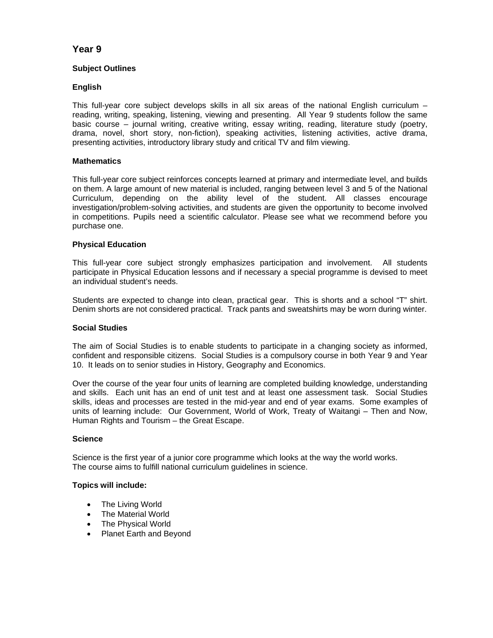# **Year 9**

# **Subject Outlines**

# **English**

This full-year core subject develops skills in all six areas of the national English curriculum – reading, writing, speaking, listening, viewing and presenting. All Year 9 students follow the same basic course – journal writing, creative writing, essay writing, reading, literature study (poetry, drama, novel, short story, non-fiction), speaking activities, listening activities, active drama, presenting activities, introductory library study and critical TV and film viewing.

# **Mathematics**

This full-year core subject reinforces concepts learned at primary and intermediate level, and builds on them. A large amount of new material is included, ranging between level 3 and 5 of the National Curriculum, depending on the ability level of the student. All classes encourage investigation/problem-solving activities, and students are given the opportunity to become involved in competitions. Pupils need a scientific calculator. Please see what we recommend before you purchase one.

# **Physical Education**

This full-year core subject strongly emphasizes participation and involvement. All students participate in Physical Education lessons and if necessary a special programme is devised to meet an individual student's needs.

Students are expected to change into clean, practical gear. This is shorts and a school "T" shirt. Denim shorts are not considered practical. Track pants and sweatshirts may be worn during winter.

### **Social Studies**

The aim of Social Studies is to enable students to participate in a changing society as informed, confident and responsible citizens. Social Studies is a compulsory course in both Year 9 and Year 10. It leads on to senior studies in History, Geography and Economics.

Over the course of the year four units of learning are completed building knowledge, understanding and skills. Each unit has an end of unit test and at least one assessment task. Social Studies skills, ideas and processes are tested in the mid-year and end of year exams. Some examples of units of learning include: Our Government, World of Work, Treaty of Waitangi – Then and Now, Human Rights and Tourism – the Great Escape.

### **Science**

Science is the first year of a junior core programme which looks at the way the world works. The course aims to fulfill national curriculum guidelines in science.

### **Topics will include:**

- The Living World
- The Material World
- The Physical World
- Planet Earth and Beyond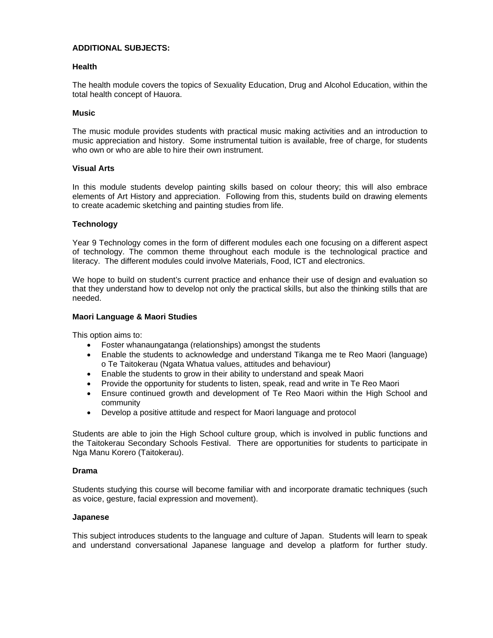### **ADDITIONAL SUBJECTS:**

#### **Health**

The health module covers the topics of Sexuality Education, Drug and Alcohol Education, within the total health concept of Hauora.

#### **Music**

The music module provides students with practical music making activities and an introduction to music appreciation and history. Some instrumental tuition is available, free of charge, for students who own or who are able to hire their own instrument.

#### **Visual Arts**

In this module students develop painting skills based on colour theory; this will also embrace elements of Art History and appreciation. Following from this, students build on drawing elements to create academic sketching and painting studies from life.

### **Technology**

Year 9 Technology comes in the form of different modules each one focusing on a different aspect of technology. The common theme throughout each module is the technological practice and literacy. The different modules could involve Materials, Food, ICT and electronics.

We hope to build on student's current practice and enhance their use of design and evaluation so that they understand how to develop not only the practical skills, but also the thinking stills that are needed.

#### **Maori Language & Maori Studies**

This option aims to:

- Foster whanaungatanga (relationships) amongst the students
- Enable the students to acknowledge and understand Tikanga me te Reo Maori (language) o Te Taitokerau (Ngata Whatua values, attitudes and behaviour)
- Enable the students to grow in their ability to understand and speak Maori
- Provide the opportunity for students to listen, speak, read and write in Te Reo Maori
- Ensure continued growth and development of Te Reo Maori within the High School and community
- Develop a positive attitude and respect for Maori language and protocol

Students are able to join the High School culture group, which is involved in public functions and the Taitokerau Secondary Schools Festival. There are opportunities for students to participate in Nga Manu Korero (Taitokerau).

#### **Drama**

Students studying this course will become familiar with and incorporate dramatic techniques (such as voice, gesture, facial expression and movement).

#### **Japanese**

This subject introduces students to the language and culture of Japan. Students will learn to speak and understand conversational Japanese language and develop a platform for further study.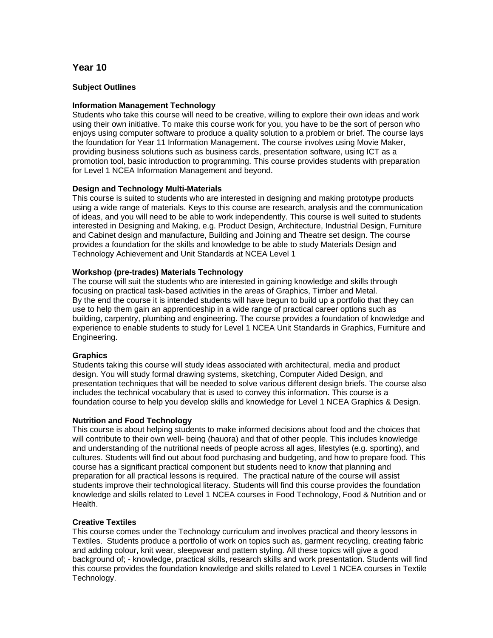# **Year 10**

## **Subject Outlines**

### **Information Management Technology**

Students who take this course will need to be creative, willing to explore their own ideas and work using their own initiative. To make this course work for you, you have to be the sort of person who enjoys using computer software to produce a quality solution to a problem or brief. The course lays the foundation for Year 11 Information Management. The course involves using Movie Maker, providing business solutions such as business cards, presentation software, using ICT as a promotion tool, basic introduction to programming. This course provides students with preparation for Level 1 NCEA Information Management and beyond.

# **Design and Technology Multi-Materials**

This course is suited to students who are interested in designing and making prototype products using a wide range of materials. Keys to this course are research, analysis and the communication of ideas, and you will need to be able to work independently. This course is well suited to students interested in Designing and Making, e.g. Product Design, Architecture, Industrial Design, Furniture and Cabinet design and manufacture, Building and Joining and Theatre set design. The course provides a foundation for the skills and knowledge to be able to study Materials Design and Technology Achievement and Unit Standards at NCEA Level 1

# **Workshop (pre-trades) Materials Technology**

The course will suit the students who are interested in gaining knowledge and skills through focusing on practical task-based activities in the areas of Graphics, Timber and Metal. By the end the course it is intended students will have begun to build up a portfolio that they can use to help them gain an apprenticeship in a wide range of practical career options such as building, carpentry, plumbing and engineering. The course provides a foundation of knowledge and experience to enable students to study for Level 1 NCEA Unit Standards in Graphics, Furniture and Engineering.

### **Graphics**

Students taking this course will study ideas associated with architectural, media and product design. You will study formal drawing systems, sketching, Computer Aided Design, and presentation techniques that will be needed to solve various different design briefs. The course also includes the technical vocabulary that is used to convey this information. This course is a foundation course to help you develop skills and knowledge for Level 1 NCEA Graphics & Design.

### **Nutrition and Food Technology**

This course is about helping students to make informed decisions about food and the choices that will contribute to their own well- being (hauora) and that of other people. This includes knowledge and understanding of the nutritional needs of people across all ages, lifestyles (e.g. sporting), and cultures. Students will find out about food purchasing and budgeting, and how to prepare food. This course has a significant practical component but students need to know that planning and preparation for all practical lessons is required. The practical nature of the course will assist students improve their technological literacy. Students will find this course provides the foundation knowledge and skills related to Level 1 NCEA courses in Food Technology, Food & Nutrition and or Health.

### **Creative Textiles**

This course comes under the Technology curriculum and involves practical and theory lessons in Textiles. Students produce a portfolio of work on topics such as, garment recycling, creating fabric and adding colour, knit wear, sleepwear and pattern styling. All these topics will give a good background of; - knowledge, practical skills, research skills and work presentation. Students will find this course provides the foundation knowledge and skills related to Level 1 NCEA courses in Textile Technology.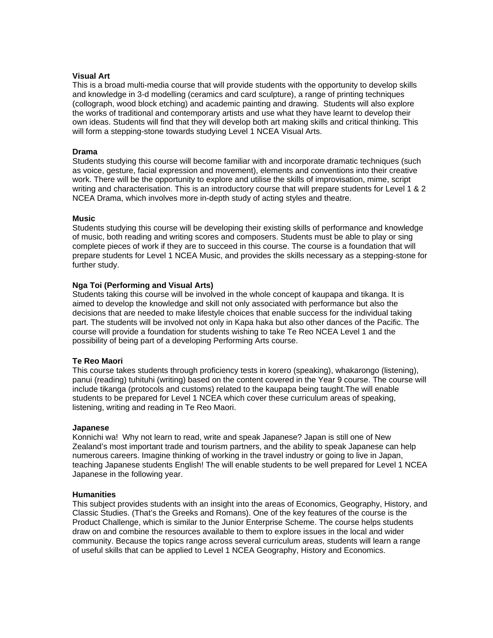# **Visual Art**

This is a broad multi-media course that will provide students with the opportunity to develop skills and knowledge in 3-d modelling (ceramics and card sculpture), a range of printing techniques (collograph, wood block etching) and academic painting and drawing. Students will also explore the works of traditional and contemporary artists and use what they have learnt to develop their own ideas. Students will find that they will develop both art making skills and critical thinking. This will form a stepping-stone towards studying Level 1 NCEA Visual Arts.

#### **Drama**

Students studying this course will become familiar with and incorporate dramatic techniques (such as voice, gesture, facial expression and movement), elements and conventions into their creative work. There will be the opportunity to explore and utilise the skills of improvisation, mime, script writing and characterisation. This is an introductory course that will prepare students for Level 1 & 2 NCEA Drama, which involves more in-depth study of acting styles and theatre.

#### **Music**

Students studying this course will be developing their existing skills of performance and knowledge of music, both reading and writing scores and composers. Students must be able to play or sing complete pieces of work if they are to succeed in this course. The course is a foundation that will prepare students for Level 1 NCEA Music, and provides the skills necessary as a stepping-stone for further study.

### **Nga Toi (Performing and Visual Arts)**

Students taking this course will be involved in the whole concept of kaupapa and tikanga. It is aimed to develop the knowledge and skill not only associated with performance but also the decisions that are needed to make lifestyle choices that enable success for the individual taking part. The students will be involved not only in Kapa haka but also other dances of the Pacific. The course will provide a foundation for students wishing to take Te Reo NCEA Level 1 and the possibility of being part of a developing Performing Arts course.

### **Te Reo Maori**

This course takes students through proficiency tests in korero (speaking), whakarongo (listening), panui (reading) tuhituhi (writing) based on the content covered in the Year 9 course. The course will include tikanga (protocols and customs) related to the kaupapa being taught.The will enable students to be prepared for Level 1 NCEA which cover these curriculum areas of speaking, listening, writing and reading in Te Reo Maori.

#### **Japanese**

Konnichi wa! Why not learn to read, write and speak Japanese? Japan is still one of New Zealand's most important trade and tourism partners, and the ability to speak Japanese can help numerous careers. Imagine thinking of working in the travel industry or going to live in Japan, teaching Japanese students English! The will enable students to be well prepared for Level 1 NCEA Japanese in the following year.

#### **Humanities**

This subject provides students with an insight into the areas of Economics, Geography, History, and Classic Studies. (That's the Greeks and Romans). One of the key features of the course is the Product Challenge, which is similar to the Junior Enterprise Scheme. The course helps students draw on and combine the resources available to them to explore issues in the local and wider community. Because the topics range across several curriculum areas, students will learn a range of useful skills that can be applied to Level 1 NCEA Geography, History and Economics.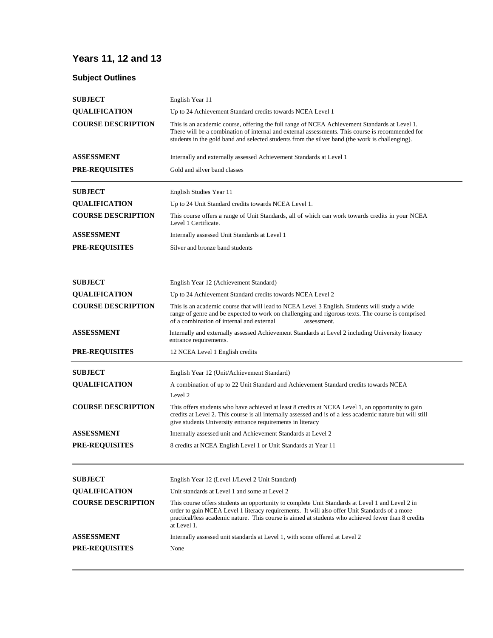# **Years 11, 12 and 13**

# **Subject Outlines**

| <b>SUBJECT</b>            | English Year 11                                                                                                                                                                                                                                                                                                       |
|---------------------------|-----------------------------------------------------------------------------------------------------------------------------------------------------------------------------------------------------------------------------------------------------------------------------------------------------------------------|
| <b>QUALIFICATION</b>      | Up to 24 Achievement Standard credits towards NCEA Level 1                                                                                                                                                                                                                                                            |
| <b>COURSE DESCRIPTION</b> | This is an academic course, offering the full range of NCEA Achievement Standards at Level 1.<br>There will be a combination of internal and external assessments. This course is recommended for<br>students in the gold band and selected students from the silver band (the work is challenging).                  |
| <b>ASSESSMENT</b>         | Internally and externally assessed Achievement Standards at Level 1                                                                                                                                                                                                                                                   |
| <b>PRE-REQUISITES</b>     | Gold and silver band classes                                                                                                                                                                                                                                                                                          |
| <b>SUBJECT</b>            | English Studies Year 11                                                                                                                                                                                                                                                                                               |
| <b>QUALIFICATION</b>      | Up to 24 Unit Standard credits towards NCEA Level 1.                                                                                                                                                                                                                                                                  |
| <b>COURSE DESCRIPTION</b> | This course offers a range of Unit Standards, all of which can work towards credits in your NCEA<br>Level 1 Certificate.                                                                                                                                                                                              |
| <b>ASSESSMENT</b>         | Internally assessed Unit Standards at Level 1                                                                                                                                                                                                                                                                         |
| <b>PRE-REQUISITES</b>     | Silver and bronze band students                                                                                                                                                                                                                                                                                       |
| <b>SUBJECT</b>            | English Year 12 (Achievement Standard)                                                                                                                                                                                                                                                                                |
| <b>QUALIFICATION</b>      | Up to 24 Achievement Standard credits towards NCEA Level 2                                                                                                                                                                                                                                                            |
| <b>COURSE DESCRIPTION</b> | This is an academic course that will lead to NCEA Level 3 English. Students will study a wide<br>range of genre and be expected to work on challenging and rigorous texts. The course is comprised<br>of a combination of internal and external<br>assessment.                                                        |
| ASSESSMENT                | Internally and externally assessed Achievement Standards at Level 2 including University literacy<br>entrance requirements.                                                                                                                                                                                           |
| <b>PRE-REQUISITES</b>     | 12 NCEA Level 1 English credits                                                                                                                                                                                                                                                                                       |
| <b>SUBJECT</b>            | English Year 12 (Unit/Achievement Standard)                                                                                                                                                                                                                                                                           |
| <b>QUALIFICATION</b>      | A combination of up to 22 Unit Standard and Achievement Standard credits towards NCEA                                                                                                                                                                                                                                 |
| <b>COURSE DESCRIPTION</b> | Level 2<br>This offers students who have achieved at least 8 credits at NCEA Level 1, an opportunity to gain<br>credits at Level 2. This course is all internally assessed and is of a less academic nature but will still<br>give students University entrance requirements in literacy                              |
| ASSESSMENT                | Internally assessed unit and Achievement Standards at Level 2                                                                                                                                                                                                                                                         |
| <b>PRE-REQUISITES</b>     | 8 credits at NCEA English Level 1 or Unit Standards at Year 11                                                                                                                                                                                                                                                        |
| <b>SUBJECT</b>            | English Year 12 (Level 1/Level 2 Unit Standard)                                                                                                                                                                                                                                                                       |
| <b>QUALIFICATION</b>      | Unit standards at Level 1 and some at Level 2                                                                                                                                                                                                                                                                         |
| <b>COURSE DESCRIPTION</b> | This course offers students an opportunity to complete Unit Standards at Level 1 and Level 2 in<br>order to gain NCEA Level 1 literacy requirements. It will also offer Unit Standards of a more<br>practical/less academic nature. This course is aimed at students who achieved fewer than 8 credits<br>at Level 1. |
| <b>ASSESSMENT</b>         | Internally assessed unit standards at Level 1, with some offered at Level 2                                                                                                                                                                                                                                           |
| <b>PRE-REOUISITES</b>     | None                                                                                                                                                                                                                                                                                                                  |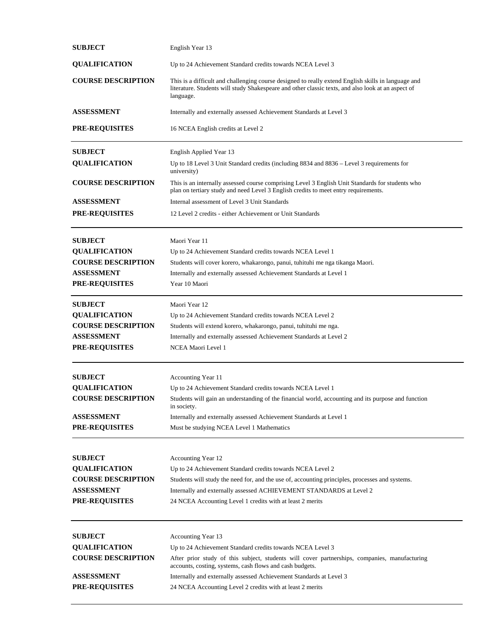| <b>SUBJECT</b>                             | English Year 13                                                                                                                                                                                                        |
|--------------------------------------------|------------------------------------------------------------------------------------------------------------------------------------------------------------------------------------------------------------------------|
| <b>QUALIFICATION</b>                       | Up to 24 Achievement Standard credits towards NCEA Level 3                                                                                                                                                             |
| <b>COURSE DESCRIPTION</b>                  | This is a difficult and challenging course designed to really extend English skills in language and<br>literature. Students will study Shakespeare and other classic texts, and also look at an aspect of<br>language. |
| <b>ASSESSMENT</b>                          | Internally and externally assessed Achievement Standards at Level 3                                                                                                                                                    |
| <b>PRE-REQUISITES</b>                      | 16 NCEA English credits at Level 2                                                                                                                                                                                     |
| <b>SUBJECT</b>                             | English Applied Year 13                                                                                                                                                                                                |
| <b>QUALIFICATION</b>                       | Up to 18 Level 3 Unit Standard credits (including 8834 and 8836 – Level 3 requirements for<br>university)                                                                                                              |
| <b>COURSE DESCRIPTION</b>                  | This is an internally assessed course comprising Level 3 English Unit Standards for students who<br>plan on tertiary study and need Level 3 English credits to meet entry requirements.                                |
| ASSESSMENT                                 | Internal assessment of Level 3 Unit Standards                                                                                                                                                                          |
| <b>PRE-REQUISITES</b>                      | 12 Level 2 credits - either Achievement or Unit Standards                                                                                                                                                              |
| <b>SUBJECT</b>                             | Maori Year 11                                                                                                                                                                                                          |
| <b>QUALIFICATION</b>                       | Up to 24 Achievement Standard credits towards NCEA Level 1                                                                                                                                                             |
| <b>COURSE DESCRIPTION</b>                  | Students will cover korero, whakarongo, panui, tuhituhi me nga tikanga Maori.                                                                                                                                          |
| <b>ASSESSMENT</b><br><b>PRE-REQUISITES</b> | Internally and externally assessed Achievement Standards at Level 1                                                                                                                                                    |
|                                            | Year 10 Maori                                                                                                                                                                                                          |
| <b>SUBJECT</b>                             | Maori Year 12                                                                                                                                                                                                          |
| <b>QUALIFICATION</b>                       | Up to 24 Achievement Standard credits towards NCEA Level 2                                                                                                                                                             |
| <b>COURSE DESCRIPTION</b>                  | Students will extend korero, whakarongo, panui, tuhituhi me nga.                                                                                                                                                       |
| <b>ASSESSMENT</b>                          | Internally and externally assessed Achievement Standards at Level 2                                                                                                                                                    |
| PRE-REQUISITES                             | NCEA Maori Level 1                                                                                                                                                                                                     |
| <b>SUBJECT</b>                             | Accounting Year 11                                                                                                                                                                                                     |
| <b>OUALIFICATION</b>                       | Up to 24 Achievement Standard credits towards NCEA Level 1                                                                                                                                                             |
| <b>COURSE DESCRIPTION</b>                  | Students will gain an understanding of the financial world, accounting and its purpose and function<br>in society.                                                                                                     |
| <b>ASSESSMENT</b>                          | Internally and externally assessed Achievement Standards at Level 1                                                                                                                                                    |
| PRE-REQUISITES                             | Must be studying NCEA Level 1 Mathematics                                                                                                                                                                              |
| <b>SUBJECT</b>                             | Accounting Year 12                                                                                                                                                                                                     |
| <b>QUALIFICATION</b>                       | Up to 24 Achievement Standard credits towards NCEA Level 2                                                                                                                                                             |
| <b>COURSE DESCRIPTION</b>                  | Students will study the need for, and the use of, accounting principles, processes and systems.                                                                                                                        |
| <b>ASSESSMENT</b>                          | Internally and externally assessed ACHIEVEMENT STANDARDS at Level 2                                                                                                                                                    |
| <b>PRE-REQUISITES</b>                      | 24 NCEA Accounting Level 1 credits with at least 2 merits                                                                                                                                                              |
| <b>SUBJECT</b>                             | Accounting Year 13                                                                                                                                                                                                     |
| <b>QUALIFICATION</b>                       | Up to 24 Achievement Standard credits towards NCEA Level 3                                                                                                                                                             |
| <b>COURSE DESCRIPTION</b>                  | After prior study of this subject, students will cover partnerships, companies, manufacturing                                                                                                                          |
|                                            | accounts, costing, systems, cash flows and cash budgets.                                                                                                                                                               |
| <b>ASSESSMENT</b>                          | Internally and externally assessed Achievement Standards at Level 3                                                                                                                                                    |
| <b>PRE-REQUISITES</b>                      | 24 NCEA Accounting Level 2 credits with at least 2 merits                                                                                                                                                              |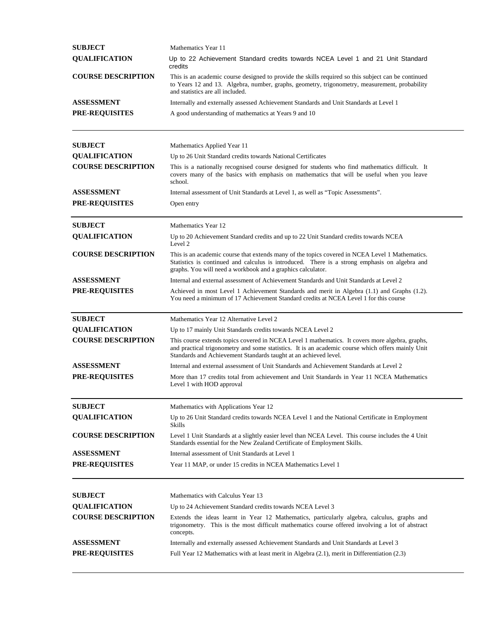| <b>SUBJECT</b>            | Mathematics Year 11                                                                                                                                                                                                                                                      |
|---------------------------|--------------------------------------------------------------------------------------------------------------------------------------------------------------------------------------------------------------------------------------------------------------------------|
| <b>QUALIFICATION</b>      | Up to 22 Achievement Standard credits towards NCEA Level 1 and 21 Unit Standard<br>credits                                                                                                                                                                               |
| <b>COURSE DESCRIPTION</b> | This is an academic course designed to provide the skills required so this subject can be continued<br>to Years 12 and 13. Algebra, number, graphs, geometry, trigonometry, measurement, probability<br>and statistics are all included.                                 |
| <b>ASSESSMENT</b>         | Internally and externally assessed Achievement Standards and Unit Standards at Level 1                                                                                                                                                                                   |
| <b>PRE-REQUISITES</b>     | A good understanding of mathematics at Years 9 and 10                                                                                                                                                                                                                    |
| <b>SUBJECT</b>            | Mathematics Applied Year 11                                                                                                                                                                                                                                              |
| <b>QUALIFICATION</b>      | Up to 26 Unit Standard credits towards National Certificates                                                                                                                                                                                                             |
| <b>COURSE DESCRIPTION</b> | This is a nationally recognised course designed for students who find mathematics difficult. It<br>covers many of the basics with emphasis on mathematics that will be useful when you leave<br>school.                                                                  |
| <b>ASSESSMENT</b>         | Internal assessment of Unit Standards at Level 1, as well as "Topic Assessments".                                                                                                                                                                                        |
| <b>PRE-REQUISITES</b>     | Open entry                                                                                                                                                                                                                                                               |
| <b>SUBJECT</b>            | Mathematics Year 12                                                                                                                                                                                                                                                      |
| <b>QUALIFICATION</b>      | Up to 20 Achievement Standard credits and up to 22 Unit Standard credits towards NCEA<br>Level 2                                                                                                                                                                         |
| <b>COURSE DESCRIPTION</b> | This is an academic course that extends many of the topics covered in NCEA Level 1 Mathematics.<br>Statistics is continued and calculus is introduced. There is a strong emphasis on algebra and<br>graphs. You will need a workbook and a graphics calculator.          |
| <b>ASSESSMENT</b>         | Internal and external assessment of Achievement Standards and Unit Standards at Level 2                                                                                                                                                                                  |
| PRE-REQUISITES            | Achieved in most Level 1 Achievement Standards and merit in Algebra (1.1) and Graphs (1.2).<br>You need a minimum of 17 Achievement Standard credits at NCEA Level 1 for this course                                                                                     |
| <b>SUBJECT</b>            | Mathematics Year 12 Alternative Level 2                                                                                                                                                                                                                                  |
| <b>QUALIFICATION</b>      | Up to 17 mainly Unit Standards credits towards NCEA Level 2                                                                                                                                                                                                              |
| <b>COURSE DESCRIPTION</b> | This course extends topics covered in NCEA Level 1 mathematics. It covers more algebra, graphs,<br>and practical trigonometry and some statistics. It is an academic course which offers mainly Unit<br>Standards and Achievement Standards taught at an achieved level. |
| <b>ASSESSMENT</b>         | Internal and external assessment of Unit Standards and Achievement Standards at Level 2                                                                                                                                                                                  |
| <b>PRE-REQUISITES</b>     | More than 17 credits total from achievement and Unit Standards in Year 11 NCEA Mathematics<br>Level 1 with HOD approval                                                                                                                                                  |
| <b>SUBJECT</b>            | Mathematics with Applications Year 12                                                                                                                                                                                                                                    |
| <b>QUALIFICATION</b>      | Up to 26 Unit Standard credits towards NCEA Level 1 and the National Certificate in Employment<br>Skills                                                                                                                                                                 |
| <b>COURSE DESCRIPTION</b> | Level 1 Unit Standards at a slightly easier level than NCEA Level. This course includes the 4 Unit<br>Standards essential for the New Zealand Certificate of Employment Skills.                                                                                          |
| <b>ASSESSMENT</b>         | Internal assessment of Unit Standards at Level 1                                                                                                                                                                                                                         |
| <b>PRE-REQUISITES</b>     | Year 11 MAP, or under 15 credits in NCEA Mathematics Level 1                                                                                                                                                                                                             |
| <b>SUBJECT</b>            | Mathematics with Calculus Year 13                                                                                                                                                                                                                                        |
| <b>QUALIFICATION</b>      | Up to 24 Achievement Standard credits towards NCEA Level 3                                                                                                                                                                                                               |
| <b>COURSE DESCRIPTION</b> | Extends the ideas learnt in Year 12 Mathematics, particularly algebra, calculus, graphs and<br>trigonometry. This is the most difficult mathematics course offered involving a lot of abstract<br>concepts.                                                              |
| <b>ASSESSMENT</b>         | Internally and externally assessed Achievement Standards and Unit Standards at Level 3                                                                                                                                                                                   |
| <b>PRE-REQUISITES</b>     | Full Year 12 Mathematics with at least merit in Algebra (2.1), merit in Differentiation (2.3)                                                                                                                                                                            |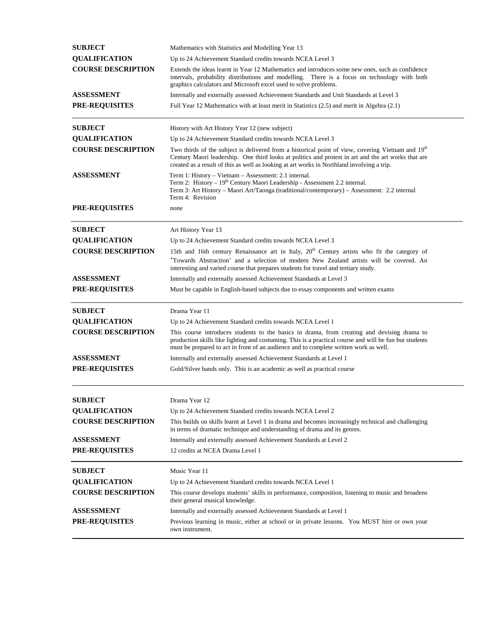| <b>SUBJECT</b>            | Mathematics with Statistics and Modelling Year 13                                                                                                                                                                                                                                                                  |
|---------------------------|--------------------------------------------------------------------------------------------------------------------------------------------------------------------------------------------------------------------------------------------------------------------------------------------------------------------|
| <b>QUALIFICATION</b>      | Up to 24 Achievement Standard credits towards NCEA Level 3                                                                                                                                                                                                                                                         |
| <b>COURSE DESCRIPTION</b> | Extends the ideas learnt in Year 12 Mathematics and introduces some new ones, such as confidence<br>intervals, probability distributions and modelling. There is a focus on technology with both<br>graphics calculators and Microsoft excel used to solve problems.                                               |
| <b>ASSESSMENT</b>         | Internally and externally assessed Achievement Standards and Unit Standards at Level 3                                                                                                                                                                                                                             |
| <b>PRE-REQUISITES</b>     | Full Year 12 Mathematics with at least merit in Statistics (2.5) and merit in Algebra (2.1)                                                                                                                                                                                                                        |
| <b>SUBJECT</b>            | History with Art History Year 12 (new subject)                                                                                                                                                                                                                                                                     |
| <b>QUALIFICATION</b>      | Up to 24 Achievement Standard credits towards NCEA Level 3                                                                                                                                                                                                                                                         |
| <b>COURSE DESCRIPTION</b> | Two thirds of the subject is delivered from a historical point of view, covering Vietnam and 19 <sup>th</sup><br>Century Maori leadership. One third looks at politics and protest in art and the art works that are<br>created as a result of this as well as looking at art works in Northland involving a trip. |
| <b>ASSESSMENT</b>         | Term 1: History - Vietnam - Assessment: 2.1 internal.<br>Term 2: History - 19 <sup>th</sup> Century Maori Leadership - Assessment 2.2 internal.<br>Term 3: Art History – Maori Art/Taonga (traditional/contemporary) – Assessment: 2.2 internal<br>Term 4: Revision                                                |
| <b>PRE-REQUISITES</b>     | none                                                                                                                                                                                                                                                                                                               |
| <b>SUBJECT</b>            | Art History Year 13                                                                                                                                                                                                                                                                                                |
| <b>QUALIFICATION</b>      | Up to 24 Achievement Standard credits towards NCEA Level 3                                                                                                                                                                                                                                                         |
| <b>COURSE DESCRIPTION</b> | 15th and 16th century Renaissance art in Italy, 20 <sup>th</sup> Century artists who fit the category of<br>'Towards Abstraction' and a selection of modern New Zealand artists will be covered. An<br>interesting and varied course that prepares students for travel and tertiary study.                         |
| <b>ASSESSMENT</b>         | Internally and externally assessed Achievement Standards at Level 3                                                                                                                                                                                                                                                |
| <b>PRE-REQUISITES</b>     | Must be capable in English-based subjects due to essay components and written exams                                                                                                                                                                                                                                |
| <b>SUBJECT</b>            | Drama Year 11                                                                                                                                                                                                                                                                                                      |
| <b>QUALIFICATION</b>      | Up to 24 Achievement Standard credits towards NCEA Level 1                                                                                                                                                                                                                                                         |
| <b>COURSE DESCRIPTION</b> | This course introduces students to the basics in drama, from creating and devising drama to<br>production skills like lighting and costuming. This is a practical course and will be fun but students<br>must be prepared to act in front of an audience and to complete written work as well.                     |
| <b>ASSESSMENT</b>         | Internally and externally assessed Achievement Standards at Level 1                                                                                                                                                                                                                                                |
| PRE-REQUISITES            | Gold/Silver bands only. This is an academic as well as practical course                                                                                                                                                                                                                                            |
| <b>SUBJECT</b>            | Drama Year 12                                                                                                                                                                                                                                                                                                      |
| <b>QUALIFICATION</b>      | Up to 24 Achievement Standard credits towards NCEA Level 2                                                                                                                                                                                                                                                         |
| <b>COURSE DESCRIPTION</b> | This builds on skills learnt at Level 1 in drama and becomes increasingly technical and challenging<br>in terms of dramatic technique and understanding of drama and its genres.                                                                                                                                   |
| <b>ASSESSMENT</b>         | Internally and externally assessed Achievement Standards at Level 2                                                                                                                                                                                                                                                |
| <b>PRE-REQUISITES</b>     | 12 credits at NCEA Drama Level 1                                                                                                                                                                                                                                                                                   |
| <b>SUBJECT</b>            | Music Year 11                                                                                                                                                                                                                                                                                                      |
| <b>QUALIFICATION</b>      | Up to 24 Achievement Standard credits towards NCEA Level 1                                                                                                                                                                                                                                                         |
| <b>COURSE DESCRIPTION</b> | This course develops students' skills in performance, composition, listening to music and broadens<br>their general musical knowledge.                                                                                                                                                                             |
| <b>ASSESSMENT</b>         | Internally and externally assessed Achievement Standards at Level 1                                                                                                                                                                                                                                                |
| <b>PRE-REQUISITES</b>     | Previous learning in music, either at school or in private lessons. You MUST hire or own your<br>own instrument.                                                                                                                                                                                                   |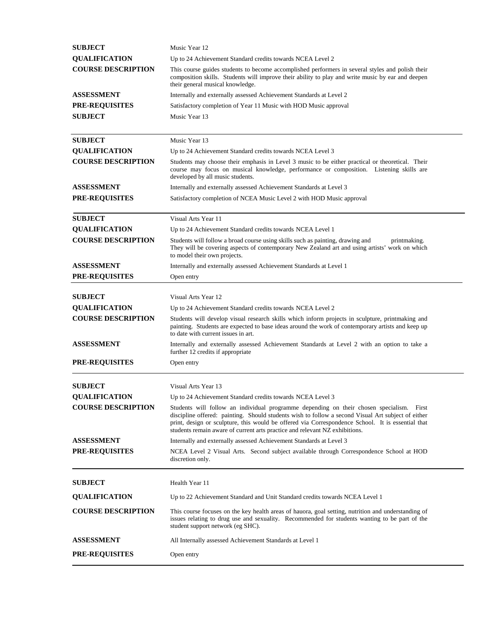| <b>SUBJECT</b>            | Music Year 12                                                                                                                                                                                                                                                                                                                                                                      |
|---------------------------|------------------------------------------------------------------------------------------------------------------------------------------------------------------------------------------------------------------------------------------------------------------------------------------------------------------------------------------------------------------------------------|
| <b>QUALIFICATION</b>      | Up to 24 Achievement Standard credits towards NCEA Level 2                                                                                                                                                                                                                                                                                                                         |
| <b>COURSE DESCRIPTION</b> | This course guides students to become accomplished performers in several styles and polish their<br>composition skills. Students will improve their ability to play and write music by ear and deepen<br>their general musical knowledge.                                                                                                                                          |
| <b>ASSESSMENT</b>         | Internally and externally assessed Achievement Standards at Level 2                                                                                                                                                                                                                                                                                                                |
| <b>PRE-REQUISITES</b>     | Satisfactory completion of Year 11 Music with HOD Music approval                                                                                                                                                                                                                                                                                                                   |
| <b>SUBJECT</b>            | Music Year 13                                                                                                                                                                                                                                                                                                                                                                      |
|                           |                                                                                                                                                                                                                                                                                                                                                                                    |
| <b>SUBJECT</b>            | Music Year 13                                                                                                                                                                                                                                                                                                                                                                      |
| <b>QUALIFICATION</b>      | Up to 24 Achievement Standard credits towards NCEA Level 3                                                                                                                                                                                                                                                                                                                         |
| <b>COURSE DESCRIPTION</b> | Students may choose their emphasis in Level 3 music to be either practical or theoretical. Their<br>course may focus on musical knowledge, performance or composition. Listening skills are<br>developed by all music students.                                                                                                                                                    |
| ASSESSMENT                | Internally and externally assessed Achievement Standards at Level 3                                                                                                                                                                                                                                                                                                                |
| <b>PRE-REQUISITES</b>     | Satisfactory completion of NCEA Music Level 2 with HOD Music approval                                                                                                                                                                                                                                                                                                              |
| <b>SUBJECT</b>            | Visual Arts Year 11                                                                                                                                                                                                                                                                                                                                                                |
| <b>QUALIFICATION</b>      | Up to 24 Achievement Standard credits towards NCEA Level 1                                                                                                                                                                                                                                                                                                                         |
| <b>COURSE DESCRIPTION</b> | Students will follow a broad course using skills such as painting, drawing and<br>printmaking.<br>They will be covering aspects of contemporary New Zealand art and using artists' work on which<br>to model their own projects.                                                                                                                                                   |
| ASSESSMENT                | Internally and externally assessed Achievement Standards at Level 1                                                                                                                                                                                                                                                                                                                |
| <b>PRE-REQUISITES</b>     | Open entry                                                                                                                                                                                                                                                                                                                                                                         |
|                           |                                                                                                                                                                                                                                                                                                                                                                                    |
| <b>SUBJECT</b>            | Visual Arts Year 12                                                                                                                                                                                                                                                                                                                                                                |
| <b>QUALIFICATION</b>      | Up to 24 Achievement Standard credits towards NCEA Level 2                                                                                                                                                                                                                                                                                                                         |
| <b>COURSE DESCRIPTION</b> | Students will develop visual research skills which inform projects in sculpture, printmaking and<br>painting. Students are expected to base ideas around the work of contemporary artists and keep up<br>to date with current issues in art.                                                                                                                                       |
| ASSESSMENT                | Internally and externally assessed Achievement Standards at Level 2 with an option to take a<br>further 12 credits if appropriate                                                                                                                                                                                                                                                  |
| <b>PRE-REQUISITES</b>     | Open entry                                                                                                                                                                                                                                                                                                                                                                         |
| <b>SUBJECT</b>            | Visual Arts Year 13                                                                                                                                                                                                                                                                                                                                                                |
| <b>OUALIFICATION</b>      | Up to 24 Achievement Standard credits towards NCEA Level 3                                                                                                                                                                                                                                                                                                                         |
| <b>COURSE DESCRIPTION</b> | Students will follow an individual programme depending on their chosen specialism. First<br>discipline offered: painting. Should students wish to follow a second Visual Art subject of either<br>print, design or sculpture, this would be offered via Correspondence School. It is essential that<br>students remain aware of current arts practice and relevant NZ exhibitions. |
| <b>ASSESSMENT</b>         | Internally and externally assessed Achievement Standards at Level 3                                                                                                                                                                                                                                                                                                                |
| <b>PRE-REQUISITES</b>     | NCEA Level 2 Visual Arts. Second subject available through Correspondence School at HOD<br>discretion only.                                                                                                                                                                                                                                                                        |
| <b>SUBJECT</b>            | Health Year 11                                                                                                                                                                                                                                                                                                                                                                     |
| <b>QUALIFICATION</b>      | Up to 22 Achievement Standard and Unit Standard credits towards NCEA Level 1                                                                                                                                                                                                                                                                                                       |
| <b>COURSE DESCRIPTION</b> | This course focuses on the key health areas of hauora, goal setting, nutrition and understanding of<br>issues relating to drug use and sexuality. Recommended for students wanting to be part of the<br>student support network (eg SHC).                                                                                                                                          |
| ASSESSMENT                | All Internally assessed Achievement Standards at Level 1                                                                                                                                                                                                                                                                                                                           |
| <b>PRE-REQUISITES</b>     | Open entry                                                                                                                                                                                                                                                                                                                                                                         |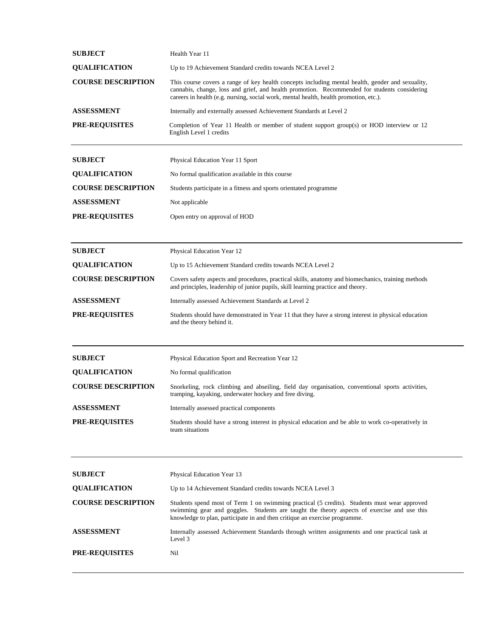| <b>SUBJECT</b>            | Health Year 11                                                                                                                                                                                                                                                                            |
|---------------------------|-------------------------------------------------------------------------------------------------------------------------------------------------------------------------------------------------------------------------------------------------------------------------------------------|
| <b>QUALIFICATION</b>      | Up to 19 Achievement Standard credits towards NCEA Level 2                                                                                                                                                                                                                                |
| <b>COURSE DESCRIPTION</b> | This course covers a range of key health concepts including mental health, gender and sexuality,<br>cannabis, change, loss and grief, and health promotion. Recommended for students considering<br>careers in health (e.g. nursing, social work, mental health, health promotion, etc.). |
| <b>ASSESSMENT</b>         | Internally and externally assessed Achievement Standards at Level 2                                                                                                                                                                                                                       |
| <b>PRE-REQUISITES</b>     | Completion of Year 11 Health or member of student support group(s) or HOD interview or 12<br>English Level 1 credits                                                                                                                                                                      |
| <b>SUBJECT</b>            | Physical Education Year 11 Sport                                                                                                                                                                                                                                                          |
| <b>QUALIFICATION</b>      | No formal qualification available in this course.                                                                                                                                                                                                                                         |
| <b>COURSE DESCRIPTION</b> | Students participate in a fitness and sports orientated programme                                                                                                                                                                                                                         |
| ASSESSMENT                | Not applicable                                                                                                                                                                                                                                                                            |
| <b>PRE-REQUISITES</b>     | Open entry on approval of HOD                                                                                                                                                                                                                                                             |
| <b>SUBJECT</b>            |                                                                                                                                                                                                                                                                                           |
| <b>QUALIFICATION</b>      | Physical Education Year 12                                                                                                                                                                                                                                                                |
| <b>COURSE DESCRIPTION</b> | Up to 15 Achievement Standard credits towards NCEA Level 2<br>Covers safety aspects and procedures, practical skills, anatomy and biomechanics, training methods                                                                                                                          |
|                           | and principles, leadership of junior pupils, skill learning practice and theory.                                                                                                                                                                                                          |
| <b>ASSESSMENT</b>         | Internally assessed Achievement Standards at Level 2                                                                                                                                                                                                                                      |
| <b>PRE-REQUISITES</b>     | Students should have demonstrated in Year 11 that they have a strong interest in physical education<br>and the theory behind it.                                                                                                                                                          |
| <b>SUBJECT</b>            | Physical Education Sport and Recreation Year 12                                                                                                                                                                                                                                           |
| <b>QUALIFICATION</b>      | No formal qualification                                                                                                                                                                                                                                                                   |
| <b>COURSE DESCRIPTION</b> | Snorkeling, rock climbing and abseiling, field day organisation, conventional sports activities,<br>tramping, kayaking, underwater hockey and free diving.                                                                                                                                |
| <b>ASSESSMENT</b>         | Internally assessed practical components                                                                                                                                                                                                                                                  |
| <b>PRE-REQUISITES</b>     | Students should have a strong interest in physical education and be able to work co-operatively in<br>team situations                                                                                                                                                                     |
|                           |                                                                                                                                                                                                                                                                                           |
| <b>SUBJECT</b>            | Physical Education Year 13                                                                                                                                                                                                                                                                |
| <b>QUALIFICATION</b>      | Up to 14 Achievement Standard credits towards NCEA Level 3                                                                                                                                                                                                                                |
| <b>COURSE DESCRIPTION</b> | Students spend most of Term 1 on swimming practical (5 credits). Students must wear approved<br>swimming gear and goggles. Students are taught the theory aspects of exercise and use this<br>knowledge to plan, participate in and then critique an exercise programme.                  |
| <b>ASSESSMENT</b>         | Internally assessed Achievement Standards through written assignments and one practical task at<br>Level 3                                                                                                                                                                                |
| <b>PRE-REQUISITES</b>     | Nil                                                                                                                                                                                                                                                                                       |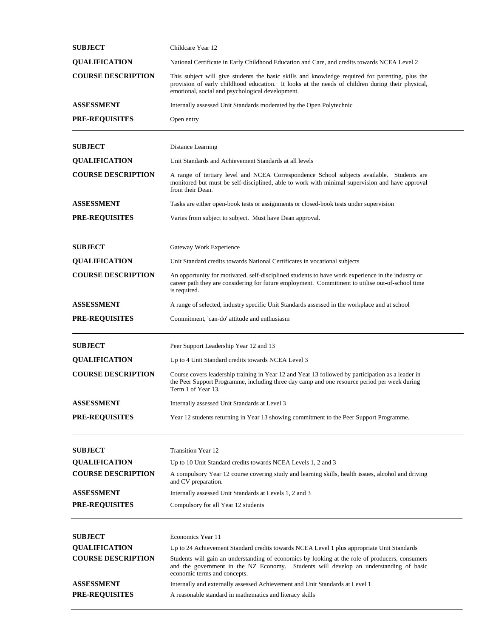| <b>SUBJECT</b>            | Childcare Year 12                                                                                                                                                                                                                                       |
|---------------------------|---------------------------------------------------------------------------------------------------------------------------------------------------------------------------------------------------------------------------------------------------------|
| <b>QUALIFICATION</b>      | National Certificate in Early Childhood Education and Care, and credits towards NCEA Level 2                                                                                                                                                            |
| <b>COURSE DESCRIPTION</b> | This subject will give students the basic skills and knowledge required for parenting, plus the<br>provision of early childhood education. It looks at the needs of children during their physical,<br>emotional, social and psychological development. |
| <b>ASSESSMENT</b>         | Internally assessed Unit Standards moderated by the Open Polytechnic                                                                                                                                                                                    |
| <b>PRE-REQUISITES</b>     | Open entry                                                                                                                                                                                                                                              |
| <b>SUBJECT</b>            | Distance Learning                                                                                                                                                                                                                                       |
| <b>QUALIFICATION</b>      | Unit Standards and Achievement Standards at all levels                                                                                                                                                                                                  |
| <b>COURSE DESCRIPTION</b> | A range of tertiary level and NCEA Correspondence School subjects available. Students are<br>monitored but must be self-disciplined, able to work with minimal supervision and have approval<br>from their Dean.                                        |
| <b>ASSESSMENT</b>         | Tasks are either open-book tests or assignments or closed-book tests under supervision                                                                                                                                                                  |
| <b>PRE-REQUISITES</b>     | Varies from subject to subject. Must have Dean approval.                                                                                                                                                                                                |
| <b>SUBJECT</b>            | Gateway Work Experience                                                                                                                                                                                                                                 |
| <b>QUALIFICATION</b>      | Unit Standard credits towards National Certificates in vocational subjects                                                                                                                                                                              |
| <b>COURSE DESCRIPTION</b> | An opportunity for motivated, self-disciplined students to have work experience in the industry or<br>career path they are considering for future employment. Commitment to utilise out-of-school time<br>is required.                                  |
| <b>ASSESSMENT</b>         | A range of selected, industry specific Unit Standards assessed in the workplace and at school                                                                                                                                                           |
| <b>PRE-REQUISITES</b>     | Commitment, 'can-do' attitude and enthusiasm                                                                                                                                                                                                            |
| <b>SUBJECT</b>            | Peer Support Leadership Year 12 and 13                                                                                                                                                                                                                  |
| <b>QUALIFICATION</b>      | Up to 4 Unit Standard credits towards NCEA Level 3                                                                                                                                                                                                      |
| <b>COURSE DESCRIPTION</b> | Course covers leadership training in Year 12 and Year 13 followed by participation as a leader in<br>the Peer Support Programme, including three day camp and one resource period per week during<br>Term 1 of Year 13.                                 |
| ASSESSMENT                | Internally assessed Unit Standards at Level 3                                                                                                                                                                                                           |
| <b>PRE-REQUISITES</b>     | Year 12 students returning in Year 13 showing commitment to the Peer Support Programme.                                                                                                                                                                 |
| <b>SUBJECT</b>            | <b>Transition Year 12</b>                                                                                                                                                                                                                               |
| <b>QUALIFICATION</b>      | Up to 10 Unit Standard credits towards NCEA Levels 1, 2 and 3                                                                                                                                                                                           |
| <b>COURSE DESCRIPTION</b> | A compulsory Year 12 course covering study and learning skills, health issues, alcohol and driving<br>and CV preparation.                                                                                                                               |
| <b>ASSESSMENT</b>         | Internally assessed Unit Standards at Levels 1, 2 and 3                                                                                                                                                                                                 |
| <b>PRE-REQUISITES</b>     | Compulsory for all Year 12 students                                                                                                                                                                                                                     |
| <b>SUBJECT</b>            | Economics Year 11                                                                                                                                                                                                                                       |
| <b>QUALIFICATION</b>      | Up to 24 Achievement Standard credits towards NCEA Level 1 plus appropriate Unit Standards                                                                                                                                                              |
| <b>COURSE DESCRIPTION</b> | Students will gain an understanding of economics by looking at the role of producers, consumers<br>and the government in the NZ Economy. Students will develop an understanding of basic<br>economic terms and concepts.                                |
| ASSESSMENT                | Internally and externally assessed Achievement and Unit Standards at Level 1                                                                                                                                                                            |
| <b>PRE-REQUISITES</b>     | A reasonable standard in mathematics and literacy skills                                                                                                                                                                                                |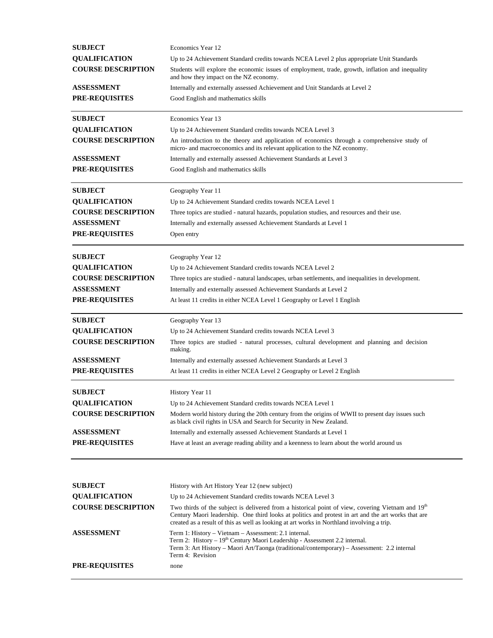| <b>SUBJECT</b>            | Economics Year 12                                                                                                                                                                                                                                                                                      |
|---------------------------|--------------------------------------------------------------------------------------------------------------------------------------------------------------------------------------------------------------------------------------------------------------------------------------------------------|
| <b>QUALIFICATION</b>      | Up to 24 Achievement Standard credits towards NCEA Level 2 plus appropriate Unit Standards                                                                                                                                                                                                             |
| <b>COURSE DESCRIPTION</b> | Students will explore the economic issues of employment, trade, growth, inflation and inequality<br>and how they impact on the NZ economy.                                                                                                                                                             |
| <b>ASSESSMENT</b>         | Internally and externally assessed Achievement and Unit Standards at Level 2                                                                                                                                                                                                                           |
| <b>PRE-REQUISITES</b>     | Good English and mathematics skills                                                                                                                                                                                                                                                                    |
| <b>SUBJECT</b>            | Economics Year 13                                                                                                                                                                                                                                                                                      |
| <b>QUALIFICATION</b>      | Up to 24 Achievement Standard credits towards NCEA Level 3                                                                                                                                                                                                                                             |
| <b>COURSE DESCRIPTION</b> | An introduction to the theory and application of economics through a comprehensive study of<br>micro- and macroeconomics and its relevant application to the NZ economy.                                                                                                                               |
| <b>ASSESSMENT</b>         | Internally and externally assessed Achievement Standards at Level 3                                                                                                                                                                                                                                    |
| <b>PRE-REQUISITES</b>     | Good English and mathematics skills                                                                                                                                                                                                                                                                    |
| <b>SUBJECT</b>            | Geography Year 11                                                                                                                                                                                                                                                                                      |
| <b>QUALIFICATION</b>      | Up to 24 Achievement Standard credits towards NCEA Level 1                                                                                                                                                                                                                                             |
| <b>COURSE DESCRIPTION</b> | Three topics are studied - natural hazards, population studies, and resources and their use.                                                                                                                                                                                                           |
| <b>ASSESSMENT</b>         | Internally and externally assessed Achievement Standards at Level 1                                                                                                                                                                                                                                    |
| <b>PRE-REQUISITES</b>     | Open entry                                                                                                                                                                                                                                                                                             |
| <b>SUBJECT</b>            | Geography Year 12                                                                                                                                                                                                                                                                                      |
| <b>QUALIFICATION</b>      | Up to 24 Achievement Standard credits towards NCEA Level 2                                                                                                                                                                                                                                             |
| <b>COURSE DESCRIPTION</b> | Three topics are studied - natural landscapes, urban settlements, and inequalities in development.                                                                                                                                                                                                     |
| ASSESSMENT                | Internally and externally assessed Achievement Standards at Level 2                                                                                                                                                                                                                                    |
| <b>PRE-REQUISITES</b>     | At least 11 credits in either NCEA Level 1 Geography or Level 1 English                                                                                                                                                                                                                                |
| <b>SUBJECT</b>            | Geography Year 13                                                                                                                                                                                                                                                                                      |
| <b>QUALIFICATION</b>      | Up to 24 Achievement Standard credits towards NCEA Level 3                                                                                                                                                                                                                                             |
| <b>COURSE DESCRIPTION</b> | Three topics are studied - natural processes, cultural development and planning and decision<br>making.                                                                                                                                                                                                |
| <b>ASSESSMENT</b>         | Internally and externally assessed Achievement Standards at Level 3                                                                                                                                                                                                                                    |
| <b>PRE-REQUISITES</b>     | At least 11 credits in either NCEA Level 2 Geography or Level 2 English                                                                                                                                                                                                                                |
| <b>SUBJECT</b>            | History Year 11                                                                                                                                                                                                                                                                                        |
| <b>QUALIFICATION</b>      | Up to 24 Achievement Standard credits towards NCEA Level 1                                                                                                                                                                                                                                             |
| <b>COURSE DESCRIPTION</b> | Modern world history during the 20th century from the origins of WWII to present day issues such<br>as black civil rights in USA and Search for Security in New Zealand.                                                                                                                               |
| <b>ASSESSMENT</b>         | Internally and externally assessed Achievement Standards at Level 1                                                                                                                                                                                                                                    |
| PRE-REQUISITES            | Have at least an average reading ability and a keenness to learn about the world around us                                                                                                                                                                                                             |
|                           |                                                                                                                                                                                                                                                                                                        |
| <b>SUBJECT</b>            | History with Art History Year 12 (new subject)                                                                                                                                                                                                                                                         |
| <b>QUALIFICATION</b>      | Up to 24 Achievement Standard credits towards NCEA Level 3                                                                                                                                                                                                                                             |
| <b>COURSE DESCRIPTION</b> | Two thirds of the subject is delivered from a historical point of view, covering Vietnam and 19th<br>Century Maori leadership. One third looks at politics and protest in art and the art works that are<br>created as a result of this as well as looking at art works in Northland involving a trip. |
| <b>ASSESSMENT</b>         | Term 1: History – Vietnam – Assessment: 2.1 internal.<br>Term 2: History - 19th Century Maori Leadership - Assessment 2.2 internal.<br>Term 3: Art History - Maori Art/Taonga (traditional/contemporary) - Assessment: 2.2 internal<br>Term 4: Revision                                                |
| <b>PRE-REQUISITES</b>     | none                                                                                                                                                                                                                                                                                                   |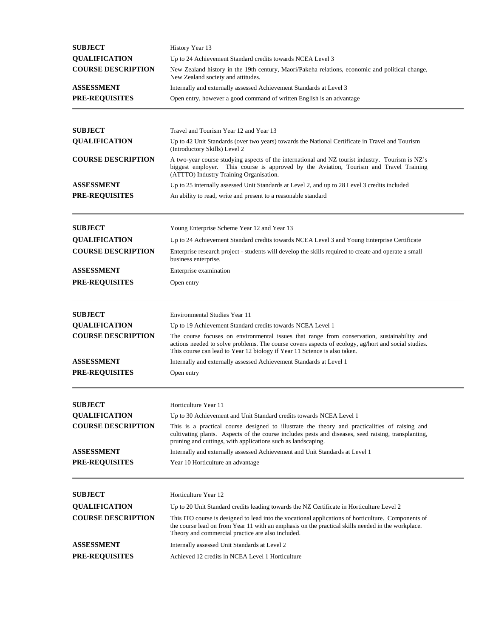| <b>SUBJECT</b>            | History Year 13                                                                                                                                                                                                                                                                 |
|---------------------------|---------------------------------------------------------------------------------------------------------------------------------------------------------------------------------------------------------------------------------------------------------------------------------|
| <b>QUALIFICATION</b>      | Up to 24 Achievement Standard credits towards NCEA Level 3                                                                                                                                                                                                                      |
| <b>COURSE DESCRIPTION</b> | New Zealand history in the 19th century, Maori/Pakeha relations, economic and political change,<br>New Zealand society and attitudes.                                                                                                                                           |
| <b>ASSESSMENT</b>         | Internally and externally assessed Achievement Standards at Level 3                                                                                                                                                                                                             |
| <b>PRE-REQUISITES</b>     | Open entry, however a good command of written English is an advantage                                                                                                                                                                                                           |
| <b>SUBJECT</b>            | Travel and Tourism Year 12 and Year 13                                                                                                                                                                                                                                          |
| <b>QUALIFICATION</b>      | Up to 42 Unit Standards (over two years) towards the National Certificate in Travel and Tourism                                                                                                                                                                                 |
| <b>COURSE DESCRIPTION</b> | (Introductory Skills) Level 2<br>A two-year course studying aspects of the international and NZ tourist industry. Tourism is NZ's<br>biggest employer. This course is approved by the Aviation, Tourism and Travel Training<br>(ATTTO) Industry Training Organisation.          |
| <b>ASSESSMENT</b>         | Up to 25 internally assessed Unit Standards at Level 2, and up to 28 Level 3 credits included                                                                                                                                                                                   |
| <b>PRE-REQUISITES</b>     | An ability to read, write and present to a reasonable standard                                                                                                                                                                                                                  |
| <b>SUBJECT</b>            | Young Enterprise Scheme Year 12 and Year 13                                                                                                                                                                                                                                     |
| <b>QUALIFICATION</b>      | Up to 24 Achievement Standard credits towards NCEA Level 3 and Young Enterprise Certificate                                                                                                                                                                                     |
| <b>COURSE DESCRIPTION</b> | Enterprise research project - students will develop the skills required to create and operate a small<br>business enterprise.                                                                                                                                                   |
| <b>ASSESSMENT</b>         | Enterprise examination                                                                                                                                                                                                                                                          |
| <b>PRE-REQUISITES</b>     | Open entry                                                                                                                                                                                                                                                                      |
| <b>SUBJECT</b>            | <b>Environmental Studies Year 11</b>                                                                                                                                                                                                                                            |
| <b>QUALIFICATION</b>      | Up to 19 Achievement Standard credits towards NCEA Level 1                                                                                                                                                                                                                      |
| <b>COURSE DESCRIPTION</b> | The course focuses on environmental issues that range from conservation, sustainability and<br>actions needed to solve problems. The course covers aspects of ecology, ag/hort and social studies.<br>This course can lead to Year 12 biology if Year 11 Science is also taken. |
| <b>ASSESSMENT</b>         | Internally and externally assessed Achievement Standards at Level 1                                                                                                                                                                                                             |
| <b>PRE-REQUISITES</b>     | Open entry                                                                                                                                                                                                                                                                      |
| <b>SUBJECT</b>            | Horticulture Year 11                                                                                                                                                                                                                                                            |
| <b>QUALIFICATION</b>      | Up to 30 Achievement and Unit Standard credits towards NCEA Level 1                                                                                                                                                                                                             |
| <b>COURSE DESCRIPTION</b> | This is a practical course designed to illustrate the theory and practicalities of raising and<br>cultivating plants. Aspects of the course includes pests and diseases, seed raising, transplanting,<br>pruning and cuttings, with applications such as landscaping.           |
| <b>ASSESSMENT</b>         | Internally and externally assessed Achievement and Unit Standards at Level 1                                                                                                                                                                                                    |
| <b>PRE-REQUISITES</b>     | Year 10 Horticulture an advantage                                                                                                                                                                                                                                               |
| <b>SUBJECT</b>            | Horticulture Year 12                                                                                                                                                                                                                                                            |
| <b>QUALIFICATION</b>      | Up to 20 Unit Standard credits leading towards the NZ Certificate in Horticulture Level 2                                                                                                                                                                                       |
| <b>COURSE DESCRIPTION</b> | This ITO course is designed to lead into the vocational applications of horticulture. Components of<br>the course lead on from Year 11 with an emphasis on the practical skills needed in the workplace.<br>Theory and commercial practice are also included.                   |
| <b>ASSESSMENT</b>         | Internally assessed Unit Standards at Level 2                                                                                                                                                                                                                                   |
| <b>PRE-REQUISITES</b>     | Achieved 12 credits in NCEA Level 1 Horticulture                                                                                                                                                                                                                                |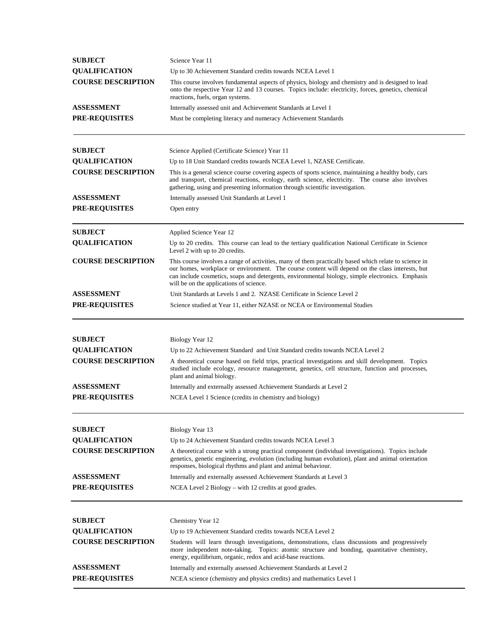| <b>QUALIFICATION</b><br><b>COURSE DESCRIPTION</b> | Science Year 11                                                                                                                                                                                                                                                                                                                                         |  |  |
|---------------------------------------------------|---------------------------------------------------------------------------------------------------------------------------------------------------------------------------------------------------------------------------------------------------------------------------------------------------------------------------------------------------------|--|--|
|                                                   | Up to 30 Achievement Standard credits towards NCEA Level 1                                                                                                                                                                                                                                                                                              |  |  |
|                                                   | This course involves fundamental aspects of physics, biology and chemistry and is designed to lead<br>onto the respective Year 12 and 13 courses. Topics include: electricity, forces, genetics, chemical<br>reactions, fuels, organ systems.                                                                                                           |  |  |
| <b>ASSESSMENT</b>                                 | Internally assessed unit and Achievement Standards at Level 1                                                                                                                                                                                                                                                                                           |  |  |
| <b>PRE-REQUISITES</b>                             | Must be completing literacy and numeracy Achievement Standards                                                                                                                                                                                                                                                                                          |  |  |
| <b>SUBJECT</b>                                    | Science Applied (Certificate Science) Year 11                                                                                                                                                                                                                                                                                                           |  |  |
| <b>QUALIFICATION</b>                              | Up to 18 Unit Standard credits towards NCEA Level 1, NZASE Certificate.                                                                                                                                                                                                                                                                                 |  |  |
| <b>COURSE DESCRIPTION</b>                         | This is a general science course covering aspects of sports science, maintaining a healthy body, cars<br>and transport, chemical reactions, ecology, earth science, electricity. The course also involves<br>gathering, using and presenting information through scientific investigation.                                                              |  |  |
| <b>ASSESSMENT</b>                                 | Internally assessed Unit Standards at Level 1                                                                                                                                                                                                                                                                                                           |  |  |
| <b>PRE-REQUISITES</b>                             | Open entry                                                                                                                                                                                                                                                                                                                                              |  |  |
| <b>SUBJECT</b>                                    | Applied Science Year 12                                                                                                                                                                                                                                                                                                                                 |  |  |
| <b>QUALIFICATION</b>                              | Up to 20 credits. This course can lead to the tertiary qualification National Certificate in Science<br>Level 2 with up to 20 credits.                                                                                                                                                                                                                  |  |  |
| <b>COURSE DESCRIPTION</b>                         | This course involves a range of activities, many of them practically based which relate to science in<br>our homes, workplace or environment. The course content will depend on the class interests, but<br>can include cosmetics, soaps and detergents, environmental biology, simple electronics. Emphasis<br>will be on the applications of science. |  |  |
| <b>ASSESSMENT</b>                                 | Unit Standards at Levels 1 and 2. NZASE Certificate in Science Level 2                                                                                                                                                                                                                                                                                  |  |  |
| <b>PRE-REQUISITES</b>                             | Science studied at Year 11, either NZASE or NCEA or Environmental Studies                                                                                                                                                                                                                                                                               |  |  |
| <b>SUBJECT</b>                                    | Biology Year 12                                                                                                                                                                                                                                                                                                                                         |  |  |
| <b>QUALIFICATION</b>                              | Up to 22 Achievement Standard and Unit Standard credits towards NCEA Level 2                                                                                                                                                                                                                                                                            |  |  |
| <b>COURSE DESCRIPTION</b>                         | A theoretical course based on field trips, practical investigations and skill development. Topics<br>studied include ecology, resource management, genetics, cell structure, function and processes,<br>plant and animal biology.                                                                                                                       |  |  |
| <b>ASSESSMENT</b>                                 | Internally and externally assessed Achievement Standards at Level 2                                                                                                                                                                                                                                                                                     |  |  |
| <b>PRE-REQUISITES</b>                             | NCEA Level 1 Science (credits in chemistry and biology)                                                                                                                                                                                                                                                                                                 |  |  |
| <b>SUBJECT</b>                                    | Biology Year 13                                                                                                                                                                                                                                                                                                                                         |  |  |
| <b>QUALIFICATION</b>                              | Up to 24 Achievement Standard credits towards NCEA Level 3                                                                                                                                                                                                                                                                                              |  |  |
| <b>COURSE DESCRIPTION</b>                         | A theoretical course with a strong practical component (individual investigations). Topics include<br>genetics, genetic engineering, evolution (including human evolution), plant and animal orientation<br>responses, biological rhythms and plant and animal behaviour.                                                                               |  |  |
| <b>ASSESSMENT</b>                                 | Internally and externally assessed Achievement Standards at Level 3                                                                                                                                                                                                                                                                                     |  |  |
| PRE-REQUISITES                                    | NCEA Level 2 Biology – with 12 credits at good grades.                                                                                                                                                                                                                                                                                                  |  |  |
|                                                   |                                                                                                                                                                                                                                                                                                                                                         |  |  |
| <b>SUBJECT</b>                                    |                                                                                                                                                                                                                                                                                                                                                         |  |  |
|                                                   | Chemistry Year 12<br>Up to 19 Achievement Standard credits towards NCEA Level 2                                                                                                                                                                                                                                                                         |  |  |
| <b>QUALIFICATION</b><br><b>COURSE DESCRIPTION</b> | Students will learn through investigations, demonstrations, class discussions and progressively<br>more independent note-taking. Topics: atomic structure and bonding, quantitative chemistry,<br>energy, equilibrium, organic, redox and acid-base reactions.                                                                                          |  |  |
| ASSESSMENT                                        | Internally and externally assessed Achievement Standards at Level 2                                                                                                                                                                                                                                                                                     |  |  |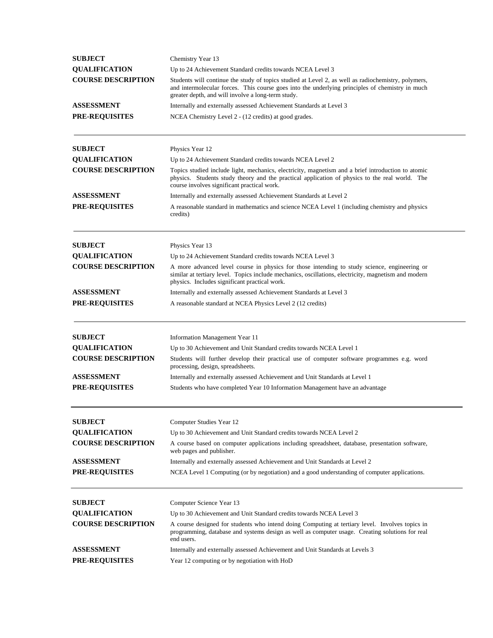| <b>SUBJECT</b>            | Chemistry Year 13                                                                                                                                                                                                                                            |
|---------------------------|--------------------------------------------------------------------------------------------------------------------------------------------------------------------------------------------------------------------------------------------------------------|
| <b>QUALIFICATION</b>      | Up to 24 Achievement Standard credits towards NCEA Level 3                                                                                                                                                                                                   |
| <b>COURSE DESCRIPTION</b> | Students will continue the study of topics studied at Level 2, as well as radiochemistry, polymers,<br>and intermolecular forces. This course goes into the underlying principles of chemistry in much<br>greater depth, and will involve a long-term study. |
| ASSESSMENT                | Internally and externally assessed Achievement Standards at Level 3                                                                                                                                                                                          |
| <b>PRE-REQUISITES</b>     | NCEA Chemistry Level 2 - (12 credits) at good grades.                                                                                                                                                                                                        |
| <b>SUBJECT</b>            | Physics Year 12                                                                                                                                                                                                                                              |
| <b>QUALIFICATION</b>      | Up to 24 Achievement Standard credits towards NCEA Level 2                                                                                                                                                                                                   |
| <b>COURSE DESCRIPTION</b> | Topics studied include light, mechanics, electricity, magnetism and a brief introduction to atomic<br>physics. Students study theory and the practical application of physics to the real world. The<br>course involves significant practical work.          |
| ASSESSMENT                | Internally and externally assessed Achievement Standards at Level 2                                                                                                                                                                                          |
| <b>PRE-REQUISITES</b>     | A reasonable standard in mathematics and science NCEA Level 1 (including chemistry and physics<br>credits)                                                                                                                                                   |
| <b>SUBJECT</b>            | Physics Year 13                                                                                                                                                                                                                                              |
| <b>QUALIFICATION</b>      | Up to 24 Achievement Standard credits towards NCEA Level 3                                                                                                                                                                                                   |
| <b>COURSE DESCRIPTION</b> | A more advanced level course in physics for those intending to study science, engineering or<br>similar at tertiary level. Topics include mechanics, oscillations, electricity, magnetism and modern<br>physics. Includes significant practical work.        |
| ASSESSMENT                | Internally and externally assessed Achievement Standards at Level 3                                                                                                                                                                                          |
| <b>PRE-REQUISITES</b>     | A reasonable standard at NCEA Physics Level 2 (12 credits)                                                                                                                                                                                                   |
| <b>SUBJECT</b>            | Information Management Year 11                                                                                                                                                                                                                               |
| <b>QUALIFICATION</b>      | Up to 30 Achievement and Unit Standard credits towards NCEA Level 1                                                                                                                                                                                          |
| <b>COURSE DESCRIPTION</b> | Students will further develop their practical use of computer software programmes e.g. word<br>processing, design, spreadsheets.                                                                                                                             |
| ASSESSMENT                | Internally and externally assessed Achievement and Unit Standards at Level 1                                                                                                                                                                                 |
| PRE-REQUISITES            | Students who have completed Year 10 Information Management have an advantage                                                                                                                                                                                 |
| <b>SUBJECT</b>            | Computer Studies Year 12                                                                                                                                                                                                                                     |
| <b>QUALIFICATION</b>      | Up to 30 Achievement and Unit Standard credits towards NCEA Level 2                                                                                                                                                                                          |
| <b>COURSE DESCRIPTION</b> | A course based on computer applications including spreadsheet, database, presentation software,<br>web pages and publisher.                                                                                                                                  |
| <b>ASSESSMENT</b>         | Internally and externally assessed Achievement and Unit Standards at Level 2                                                                                                                                                                                 |
| <b>PRE-REQUISITES</b>     | NCEA Level 1 Computing (or by negotiation) and a good understanding of computer applications.                                                                                                                                                                |
| <b>SUBJECT</b>            | Computer Science Year 13                                                                                                                                                                                                                                     |
| <b>QUALIFICATION</b>      | Up to 30 Achievement and Unit Standard credits towards NCEA Level 3                                                                                                                                                                                          |
| <b>COURSE DESCRIPTION</b> | A course designed for students who intend doing Computing at tertiary level. Involves topics in<br>programming, database and systems design as well as computer usage. Creating solutions for real<br>end users.                                             |
| <b>ASSESSMENT</b>         | Internally and externally assessed Achievement and Unit Standards at Levels 3                                                                                                                                                                                |
| <b>PRE-REQUISITES</b>     | Year 12 computing or by negotiation with HoD                                                                                                                                                                                                                 |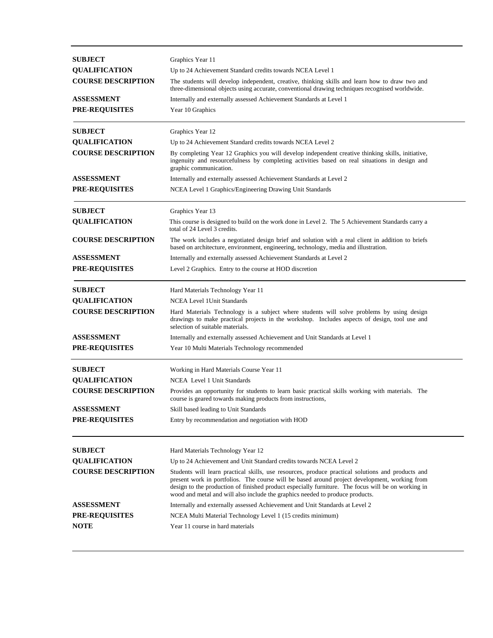| <b>SUBJECT</b>            | Graphics Year 11                                                                                                                                                                                                                                                                     |
|---------------------------|--------------------------------------------------------------------------------------------------------------------------------------------------------------------------------------------------------------------------------------------------------------------------------------|
| <b>OUALIFICATION</b>      | Up to 24 Achievement Standard credits towards NCEA Level 1                                                                                                                                                                                                                           |
| <b>COURSE DESCRIPTION</b> | The students will develop independent, creative, thinking skills and learn how to draw two and<br>three-dimensional objects using accurate, conventional drawing techniques recognised worldwide.                                                                                    |
| ASSESSMENT                | Internally and externally assessed Achievement Standards at Level 1                                                                                                                                                                                                                  |
| <b>PRE-REQUISITES</b>     | Year 10 Graphics                                                                                                                                                                                                                                                                     |
|                           |                                                                                                                                                                                                                                                                                      |
| <b>SUBJECT</b>            | Graphics Year 12                                                                                                                                                                                                                                                                     |
| <b>QUALIFICATION</b>      | Up to 24 Achievement Standard credits towards NCEA Level 2                                                                                                                                                                                                                           |
| <b>COURSE DESCRIPTION</b> | By completing Year 12 Graphics you will develop independent creative thinking skills, initiative,<br>ingenuity and resourcefulness by completing activities based on real situations in design and<br>graphic communication.                                                         |
| <b>ASSESSMENT</b>         | Internally and externally assessed Achievement Standards at Level 2                                                                                                                                                                                                                  |
| PRE-REQUISITES            | NCEA Level 1 Graphics/Engineering Drawing Unit Standards                                                                                                                                                                                                                             |
| <b>SUBJECT</b>            | Graphics Year 13                                                                                                                                                                                                                                                                     |
| <b>QUALIFICATION</b>      | This course is designed to build on the work done in Level 2. The 5 Achievement Standards carry a<br>total of 24 Level 3 credits.                                                                                                                                                    |
| <b>COURSE DESCRIPTION</b> | The work includes a negotiated design brief and solution with a real client in addition to briefs<br>based on architecture, environment, engineering, technology, media and illustration.                                                                                            |
| ASSESSMENT                | Internally and externally assessed Achievement Standards at Level 2                                                                                                                                                                                                                  |
| <b>PRE-REQUISITES</b>     | Level 2 Graphics. Entry to the course at HOD discretion                                                                                                                                                                                                                              |
| <b>SUBJECT</b>            | Hard Materials Technology Year 11                                                                                                                                                                                                                                                    |
| <b>QUALIFICATION</b>      | NCEA Level 1 Unit Standards                                                                                                                                                                                                                                                          |
| <b>COURSE DESCRIPTION</b> | Hard Materials Technology is a subject where students will solve problems by using design<br>drawings to make practical projects in the workshop. Includes aspects of design, tool use and<br>selection of suitable materials.                                                       |
| <b>ASSESSMENT</b>         | Internally and externally assessed Achievement and Unit Standards at Level 1                                                                                                                                                                                                         |
| <b>PRE-REQUISITES</b>     | Year 10 Multi Materials Technology recommended                                                                                                                                                                                                                                       |
| <b>SUBJECT</b>            | Working in Hard Materials Course Year 11                                                                                                                                                                                                                                             |
| <b>QUALIFICATION</b>      | NCEA Level 1 Unit Standards                                                                                                                                                                                                                                                          |
| <b>COURSE DESCRIPTION</b> | Provides an opportunity for students to learn basic practical skills working with materials. The<br>course is geared towards making products from instructions,                                                                                                                      |
| <b>ASSESSMENT</b>         | Skill based leading to Unit Standards                                                                                                                                                                                                                                                |
| <b>PRE-REQUISITES</b>     | Entry by recommendation and negotiation with HOD                                                                                                                                                                                                                                     |
| <b>SUBJECT</b>            | Hard Materials Technology Year 12                                                                                                                                                                                                                                                    |
| <b>QUALIFICATION</b>      | Up to 24 Achievement and Unit Standard credits towards NCEA Level 2                                                                                                                                                                                                                  |
| <b>COURSE DESCRIPTION</b> | Students will learn practical skills, use resources, produce practical solutions and products and                                                                                                                                                                                    |
|                           | present work in portfolios. The course will be based around project development, working from<br>design to the production of finished product especially furniture. The focus will be on working in<br>wood and metal and will also include the graphics needed to produce products. |
| <b>ASSESSMENT</b>         | Internally and externally assessed Achievement and Unit Standards at Level 2                                                                                                                                                                                                         |
| <b>PRE-REQUISITES</b>     | NCEA Multi Material Technology Level 1 (15 credits minimum)                                                                                                                                                                                                                          |
| <b>NOTE</b>               | Year 11 course in hard materials                                                                                                                                                                                                                                                     |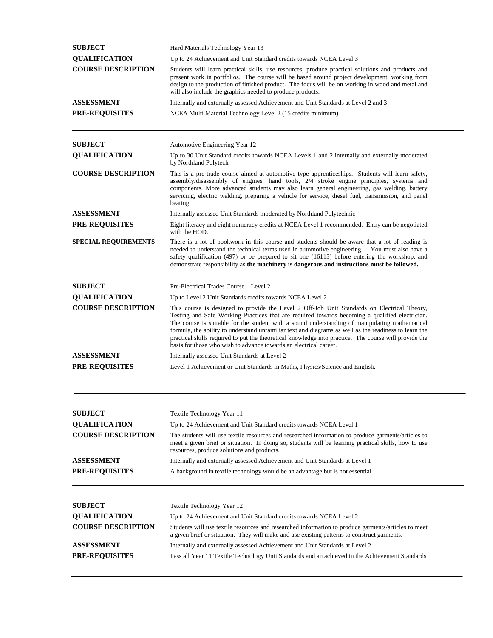| <b>SUBJECT</b>              | Hard Materials Technology Year 13                                                                                                                                                                                                                                                                                                                                                                                                                                                                                                                                                      |
|-----------------------------|----------------------------------------------------------------------------------------------------------------------------------------------------------------------------------------------------------------------------------------------------------------------------------------------------------------------------------------------------------------------------------------------------------------------------------------------------------------------------------------------------------------------------------------------------------------------------------------|
| <b>QUALIFICATION</b>        | Up to 24 Achievement and Unit Standard credits towards NCEA Level 3                                                                                                                                                                                                                                                                                                                                                                                                                                                                                                                    |
| <b>COURSE DESCRIPTION</b>   | Students will learn practical skills, use resources, produce practical solutions and products and<br>present work in portfolios. The course will be based around project development, working from<br>design to the production of finished product. The focus will be on working in wood and metal and<br>will also include the graphics needed to produce products.                                                                                                                                                                                                                   |
| ASSESSMENT                  | Internally and externally assessed Achievement and Unit Standards at Level 2 and 3                                                                                                                                                                                                                                                                                                                                                                                                                                                                                                     |
| <b>PRE-REQUISITES</b>       | NCEA Multi Material Technology Level 2 (15 credits minimum)                                                                                                                                                                                                                                                                                                                                                                                                                                                                                                                            |
| <b>SUBJECT</b>              | Automotive Engineering Year 12                                                                                                                                                                                                                                                                                                                                                                                                                                                                                                                                                         |
| <b>QUALIFICATION</b>        | Up to 30 Unit Standard credits towards NCEA Levels 1 and 2 internally and externally moderated<br>by Northland Polytech                                                                                                                                                                                                                                                                                                                                                                                                                                                                |
| <b>COURSE DESCRIPTION</b>   | This is a pre-trade course aimed at automotive type apprenticeships. Students will learn safety,<br>assembly/disassembly of engines, hand tools, 2/4 stroke engine principles, systems and<br>components. More advanced students may also learn general engineering, gas welding, battery<br>servicing, electric welding, preparing a vehicle for service, diesel fuel, transmission, and panel<br>beating.                                                                                                                                                                            |
| ASSESSMENT                  | Internally assessed Unit Standards moderated by Northland Polytechnic                                                                                                                                                                                                                                                                                                                                                                                                                                                                                                                  |
| <b>PRE-REQUISITES</b>       | Eight literacy and eight numeracy credits at NCEA Level 1 recommended. Entry can be negotiated<br>with the HOD.                                                                                                                                                                                                                                                                                                                                                                                                                                                                        |
| <b>SPECIAL REQUIREMENTS</b> | There is a lot of bookwork in this course and students should be aware that a lot of reading is<br>needed to understand the technical terms used in automotive engineering. You must also have a<br>safety qualification (497) or be prepared to sit one (16113) before entering the workshop, and<br>demonstrate responsibility as the machinery is dangerous and instructions must be followed.                                                                                                                                                                                      |
| <b>SUBJECT</b>              | Pre-Electrical Trades Course – Level 2                                                                                                                                                                                                                                                                                                                                                                                                                                                                                                                                                 |
| <b>QUALIFICATION</b>        | Up to Level 2 Unit Standards credits towards NCEA Level 2                                                                                                                                                                                                                                                                                                                                                                                                                                                                                                                              |
| <b>COURSE DESCRIPTION</b>   | This course is designed to provide the Level 2 Off-Job Unit Standards on Electrical Theory,<br>Testing and Safe Working Practices that are required towards becoming a qualified electrician.<br>The course is suitable for the student with a sound understanding of manipulating mathematical<br>formula, the ability to understand unfamiliar text and diagrams as well as the readiness to learn the<br>practical skills required to put the theoretical knowledge into practice. The course will provide the<br>basis for those who wish to advance towards an electrical career. |
| ASSESSMENT                  | Internally assessed Unit Standards at Level 2                                                                                                                                                                                                                                                                                                                                                                                                                                                                                                                                          |
| <b>PRE-REQUISITES</b>       | Level 1 Achievement or Unit Standards in Maths, Physics/Science and English.                                                                                                                                                                                                                                                                                                                                                                                                                                                                                                           |
| <b>SUBJECT</b>              | Textile Technology Year 11                                                                                                                                                                                                                                                                                                                                                                                                                                                                                                                                                             |
| <b>QUALIFICATION</b>        | Up to 24 Achievement and Unit Standard credits towards NCEA Level 1                                                                                                                                                                                                                                                                                                                                                                                                                                                                                                                    |
| <b>COURSE DESCRIPTION</b>   | The students will use textile resources and researched information to produce garments/articles to<br>meet a given brief or situation. In doing so, students will be learning practical skills, how to use<br>resources, produce solutions and products.                                                                                                                                                                                                                                                                                                                               |
| ASSESSMENT                  | Internally and externally assessed Achievement and Unit Standards at Level 1                                                                                                                                                                                                                                                                                                                                                                                                                                                                                                           |
| <b>PRE-REQUISITES</b>       | A background in textile technology would be an advantage but is not essential                                                                                                                                                                                                                                                                                                                                                                                                                                                                                                          |
| <b>SUBJECT</b>              | Textile Technology Year 12                                                                                                                                                                                                                                                                                                                                                                                                                                                                                                                                                             |
| <b>QUALIFICATION</b>        | Up to 24 Achievement and Unit Standard credits towards NCEA Level 2                                                                                                                                                                                                                                                                                                                                                                                                                                                                                                                    |
| <b>COURSE DESCRIPTION</b>   | Students will use textile resources and researched information to produce garments/articles to meet<br>a given brief or situation. They will make and use existing patterns to construct garments.                                                                                                                                                                                                                                                                                                                                                                                     |
| ASSESSMENT                  | Internally and externally assessed Achievement and Unit Standards at Level 2                                                                                                                                                                                                                                                                                                                                                                                                                                                                                                           |
| <b>PRE-REQUISITES</b>       | Pass all Year 11 Textile Technology Unit Standards and an achieved in the Achievement Standards                                                                                                                                                                                                                                                                                                                                                                                                                                                                                        |